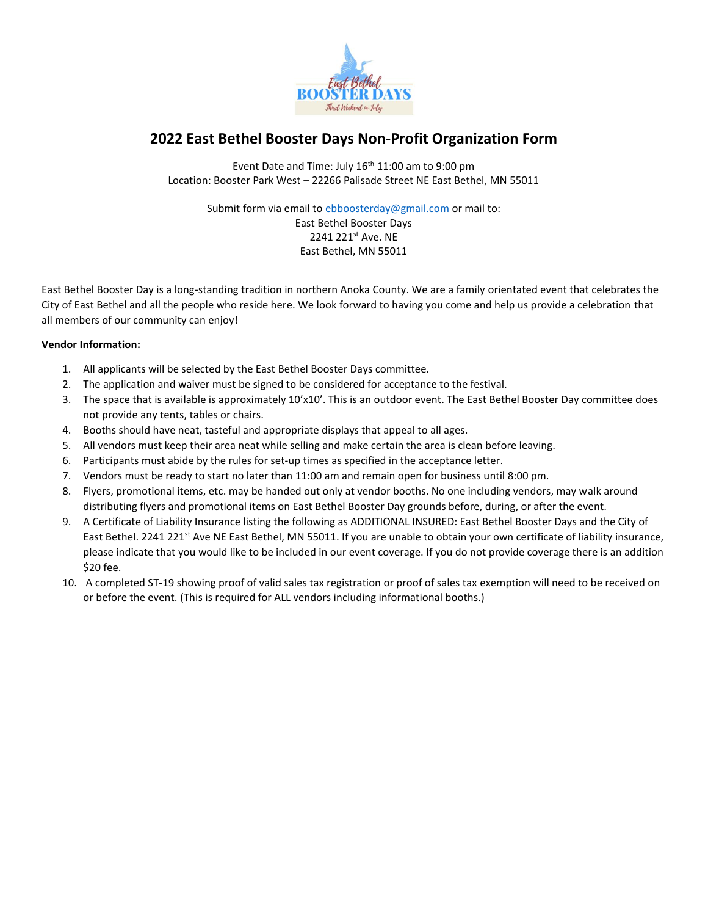

## **2022 East Bethel Booster Days Non-Profit Organization Form**

Event Date and Time: July 16<sup>th</sup> 11:00 am to 9:00 pm Location: Booster Park West – 22266 Palisade Street NE East Bethel, MN 55011

Submit form via email t[o ebboosterday@gmail.com](mailto:ebboosterday@gmail.com) or mail to: East Bethel Booster Days 2241 221st Ave. NE East Bethel, MN 55011

East Bethel Booster Day is a long-standing tradition in northern Anoka County. We are a family orientated event that celebrates the City of East Bethel and all the people who reside here. We look forward to having you come and help us provide a celebration that all members of our community can enjoy!

## **Vendor Information:**

- 1. All applicants will be selected by the East Bethel Booster Days committee.
- 2. The application and waiver must be signed to be considered for acceptance to the festival.
- 3. The space that is available is approximately 10'x10'. This is an outdoor event. The East Bethel Booster Day committee does not provide any tents, tables or chairs.
- 4. Booths should have neat, tasteful and appropriate displays that appeal to all ages.
- 5. All vendors must keep their area neat while selling and make certain the area is clean before leaving.
- 6. Participants must abide by the rules for set-up times as specified in the acceptance letter.
- 7. Vendors must be ready to start no later than 11:00 am and remain open for business until 8:00 pm.
- 8. Flyers, promotional items, etc. may be handed out only at vendor booths. No one including vendors, may walk around distributing flyers and promotional items on East Bethel Booster Day grounds before, during, or after the event.
- 9. A Certificate of Liability Insurance listing the following as ADDITIONAL INSURED: East Bethel Booster Days and the City of East Bethel. 2241 221<sup>st</sup> Ave NE East Bethel, MN 55011. If you are unable to obtain your own certificate of liability insurance, please indicate that you would like to be included in our event coverage. If you do not provide coverage there is an addition \$20 fee.
- 10. A completed ST-19 showing proof of valid sales tax registration or proof of sales tax exemption will need to be received on or before the event. (This is required for ALL vendors including informational booths.)